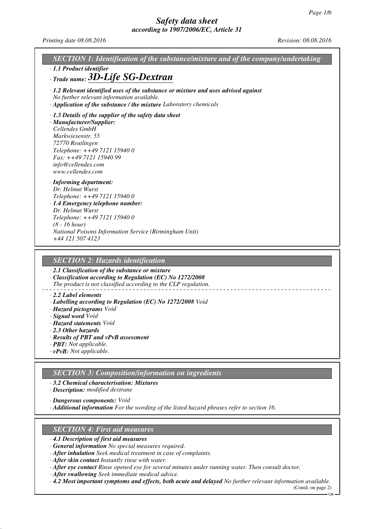*Printing date 08.08.2016 Revision: 08.08.2016*

| SECTION 1: Identification of the substance/mixture and of the company/undertaking                                                                                                                                                                                           |
|-----------------------------------------------------------------------------------------------------------------------------------------------------------------------------------------------------------------------------------------------------------------------------|
| · 1.1 Product identifier<br>$\cdot$ Trade name: $3D$ -Life SG-Dextran                                                                                                                                                                                                       |
| $\cdot$ 1.2 Relevant identified uses of the substance or mixture and uses advised against<br>No further relevant information available.<br>· Application of the substance / the mixture Laboratory chemicals                                                                |
| $\cdot$ 1.3 Details of the supplier of the safety data sheet<br>· Manufacturer/Supplier:<br>Cellendes GmbH<br>Markwiesenstr. 55<br>72770 Reutlingen<br>Telephone: ++49 7121 15940 0<br>Fax: ++49 7121 15940 99<br>info@cellendes.com<br>www.cellendes.com                   |
| $\cdot$ Informing department:<br>Dr. Helmut Wurst<br>Telephone: ++49 7121 15940 0<br>· 1.4 Emergency telephone number:<br>Dr. Helmut Wurst<br>Telephone: ++49 7121 15940 0<br>$(8 - 16 hour)$<br>National Poisons Information Service (Birmingham Unit)<br>+44 121 507 4123 |
| <b>SECTION 2: Hazards identification</b>                                                                                                                                                                                                                                    |
| $\cdot$ 2.1 Classification of the substance or mixture<br>Classification according to Regulation (EC) No 1272/2008                                                                                                                                                          |

*The product is not classified according to the CLP regulation.*

#### *· 2.2 Label elements*

- *· Labelling according to Regulation (EC) No 1272/2008 Void*
- *· Hazard pictograms Void*
- *· Signal word Void*
- *· Hazard statements Void*
- *· 2.3 Other hazards*
- *· Results of PBT and vPvB assessment*
- *· PBT: Not applicable.*
- *· vPvB: Not applicable.*

### *SECTION 3: Composition/information on ingredients*

*· 3.2 Chemical characterisation: Mixtures*

*· Description: modified dextrane*

*· Dangerous components: Void*

*· Additional information For the wording of the listed hazard phrases refer to section 16.*

#### *SECTION 4: First aid measures*

- *· 4.1 Description of first aid measures*
- *· General information No special measures required.*
- *· After inhalation Seek medical treatment in case of complaints.*
- *· After skin contact Instantly rinse with water.*
- *· After eye contact Rinse opened eye for several minutes under running water. Then consult doctor.*
- *· After swallowing Seek immediate medical advice.*
- *· 4.2 Most important symptoms and effects, both acute and delayed No further relevant information available.*

(Contd. on page 2) GB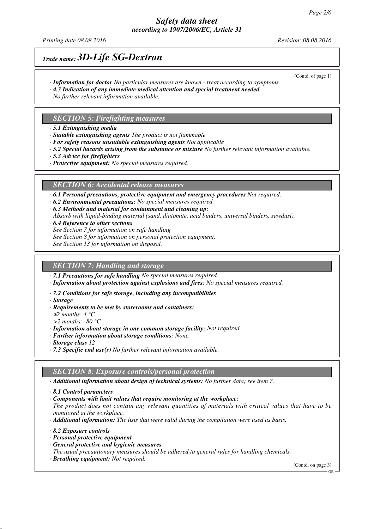## *Safety data sheet according to 1907/2006/EC, Article 31*

*Printing date 08.08.2016 Revision: 08.08.2016*

(Contd. of page 1)

## *Trade name: 3D-Life SG-Dextran*

- *· Information for doctor No particular measures are known treat according to symptoms.*
- *· 4.3 Indication of any immediate medical attention and special treatment needed*
- *No further relevant information available.*

### *SECTION 5: Firefighting measures*

- *· 5.1 Extinguishing media*
- *· Suitable extinguishing agents The product is not flammable*
- *· For safety reasons unsuitable extinguishing agents Not applicable*
- *· 5.2 Special hazards arising from the substance or mixture No further relevant information available.*
- *· 5.3 Advice for firefighters*
- *· Protective equipment: No special measures required.*

### *SECTION 6: Accidental release measures*

*· 6.1 Personal precautions, protective equipment and emergency procedures Not required.*

- *· 6.2 Environmental precautions: No special measures required.*
- *· 6.3 Methods and material for containment and cleaning up:*
- *Absorb with liquid-binding material (sand, diatomite, acid binders, universal binders, sawdust).*
- *· 6.4 Reference to other sections*
- *See Section 7 for information on safe handling*
- *See Section 8 for information on personal protection equipment.*
- *See Section 13 for information on disposal.*

### *SECTION 7: Handling and storage*

*· 7.1 Precautions for safe handling No special measures required.*

- *· Information about protection against explosions and fires: No special measures required.*
- *· 7.2 Conditions for safe storage, including any incompatibilities*
- *· Storage*
- *· Requirements to be met by storerooms and containers:*
- <sup>≤</sup>*2 months: 4 °C*
- *>2 months: -80 °C*
- *· Information about storage in one common storage facility: Not required.*
- *· Further information about storage conditions: None.*
- *· Storage class 12*
- *· 7.3 Specific end use(s) No further relevant information available.*

### *SECTION 8: Exposure controls/personal protection*

*· Additional information about design of technical systems: No further data; see item 7.*

- *· 8.1 Control parameters*
- *· Components with limit values that require monitoring at the workplace:*

*The product does not contain any relevant quantities of materials with critical values that have to be monitored at the workplace.*

- *· Additional information: The lists that were valid during the compilation were used as basis.*
- *· 8.2 Exposure controls*
- *· Personal protective equipment*
- *· General protective and hygienic measures*
- *The usual precautionary measures should be adhered to general rules for handling chemicals.*
- *· Breathing equipment: Not required.*

(Contd. on page 3)

GB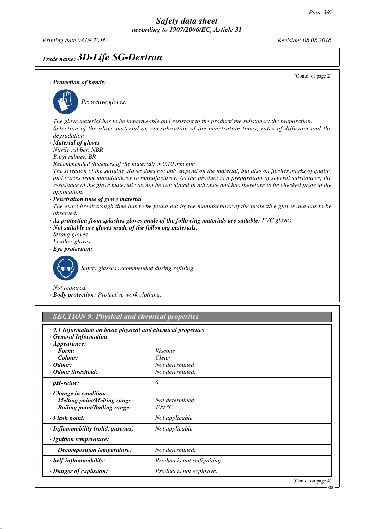*Printing date 08.08.2016 Revision: 08.08.2016*

## *Trade name: 3D-Life SG-Dextran*

(Contd. of page 2) *· Protection of hands: Protective gloves. The glove material has to be impermeable and resistant to the product/ the substance/ the preparation. Selection of the glove material on consideration of the penetration times, rates of diffusion and the degradation · Material of gloves Nitrile rubber, NBR Butyl rubber, BR Recommended thickness of the material:* ≥ *0.10 mm mm The selection of the suitable gloves does not only depend on the material, but also on further marks of quality and varies from manufacturer to manufacturer. As the product is a preparation of several substances, the resistance of the glove material can not be calculated in advance and has therefore to be checked prior to the application. · Penetration time of glove material The exact break trough time has to be found out by the manufacturer of the protective gloves and has to be observed. · As protection from splashes gloves made of the following materials are suitable: PVC gloves · Not suitable are gloves made of the following materials: Strong gloves Leather gloves · Eye protection: Safety glasses recommended during refilling. Not required. · Body protection: Protective work clothing. SECTION 9: Physical and chemical properties · 9.1 Information on basic physical and chemical properties · General Information · Appearance: Form: Viscous Colour: Clear · Odour: Not determined*

| · <i>Odour:</i><br>• Odour threshold:                                                                     | Not determined<br>Not determined. |                    |
|-----------------------------------------------------------------------------------------------------------|-----------------------------------|--------------------|
| $\cdot$ pH-value:                                                                                         | 6                                 |                    |
| $\cdot$ Change in condition<br><b>Melting point/Melting range:</b><br><b>Boiling point/Boiling range:</b> | Not determined<br>100 °C          |                    |
| $\cdot$ Flash point:                                                                                      | Not applicable                    |                    |
| · Inflammability (solid, gaseous)                                                                         | Not applicable.                   |                    |
| · Ignition temperature:                                                                                   |                                   |                    |
| <b>Decomposition temperature:</b>                                                                         | Not determined.                   |                    |
| · Self-inflammability:                                                                                    | Product is not selfigniting.      |                    |
| $\cdot$ Danger of explosion:                                                                              | Product is not explosive.         |                    |
|                                                                                                           |                                   | (Contd. on page 4) |

 $GR$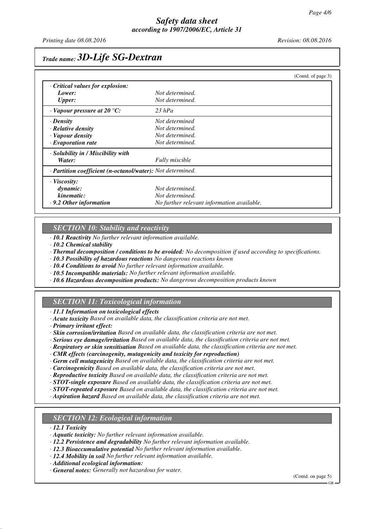*Printing date 08.08.2016 Revision: 08.08.2016*

## *Trade name: 3D-Life SG-Dextran*

|                                                            |                                            | (Contd. of page 3) |
|------------------------------------------------------------|--------------------------------------------|--------------------|
| Critical values for explosion:                             |                                            |                    |
| Lower:                                                     | Not determined.                            |                    |
| <b>Upper:</b>                                              | Not determined.                            |                    |
| $\cdot$ Vapour pressure at 20 °C:                          | $23$ hPa                                   |                    |
| $\cdot$ Density                                            | Not determined                             |                    |
| · Relative density                                         | Not determined.                            |                    |
| · Vapour density                                           | Not determined.                            |                    |
| $\cdot$ Evaporation rate                                   | Not determined.                            |                    |
| · Solubility in / Miscibility with                         |                                            |                    |
| Water:                                                     | <b>Fully</b> miscible                      |                    |
| · Partition coefficient (n-octanol/water): Not determined. |                                            |                    |
| $\cdot$ Viscosity:                                         |                                            |                    |
| dynamic:                                                   | Not determined.                            |                    |
| kinematic:                                                 | Not determined.                            |                    |
| $\cdot$ 9.2 Other information                              | No further relevant information available. |                    |

## *SECTION 10: Stability and reactivity*

*· 10.1 Reactivity No further relevant information available.*

*· 10.2 Chemical stability*

*· Thermal decomposition / conditions to be avoided: No decomposition if used according to specifications.*

*· 10.3 Possibility of hazardous reactions No dangerous reactions known*

*· 10.4 Conditions to avoid No further relevant information available.*

- *· 10.5 Incompatible materials: No further relevant information available.*
- *· 10.6 Hazardous decomposition products: No dangerous decomposition products known*

### *SECTION 11: Toxicological information*

*· 11.1 Information on toxicological effects*

- *· Acute toxicity Based on available data, the classification criteria are not met.*
- *· Primary irritant effect:*

*· Skin corrosion/irritation Based on available data, the classification criteria are not met.*

- *· Serious eye damage/irritation Based on available data, the classification criteria are not met.*
- *· Respiratory or skin sensitisation Based on available data, the classification criteria are not met.*
- *· CMR effects (carcinogenity, mutagenicity and toxicity for reproduction)*
- *· Germ cell mutagenicity Based on available data, the classification criteria are not met.*
- *· Carcinogenicity Based on available data, the classification criteria are not met.*
- *· Reproductive toxicity Based on available data, the classification criteria are not met.*
- *· STOT-single exposure Based on available data, the classification criteria are not met.*
- *· STOT-repeated exposure Based on available data, the classification criteria are not met.*
- *· Aspiration hazard Based on available data, the classification criteria are not met.*

### *SECTION 12: Ecological information*

*· 12.1 Toxicity*

- *· Aquatic toxicity: No further relevant information available.*
- *· 12.2 Persistence and degradability No further relevant information available.*
- *· 12.3 Bioaccumulative potential No further relevant information available.*
- *· 12.4 Mobility in soil No further relevant information available.*

*· Additional ecological information:*

*· General notes: Generally not hazardous for water.*

(Contd. on page 5)

GB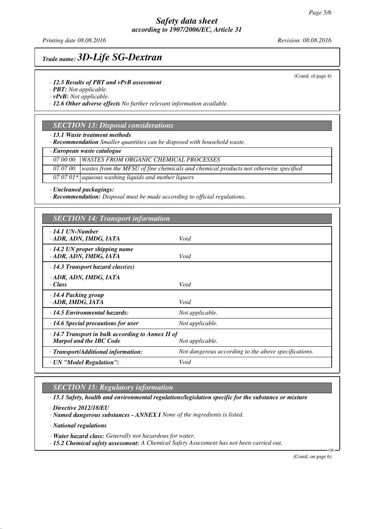## *Safety data sheet according to 1907/2006/EC, Article 31*

*Printing date 08.08.2016 Revision: 08.08.2016*

# *Trade name: 3D-Life SG-Dextran*

*· 12.5 Results of PBT and vPvB assessment*

*· PBT: Not applicable.*

*· vPvB: Not applicable.*

*· 12.6 Other adverse effects No further relevant information available.*

### *SECTION 13: Disposal considerations*

*· 13.1 Waste treatment methods*

*· Recommendation Smaller quantities can be disposed with household waste.*

*· European waste catalogue*

*07 00 00 WASTES FROM ORGANIC CHEMICAL PROCESSES*

*07 07 00 wastes from the MFSU of fine chemicals and chemical products not otherwise specified*

*07 07 01\* aqueous washing liquids and mother liquors*

*· Uncleaned packagings:*

*· Recommendation: Disposal must be made according to official regulations.*

| <b>SECTION 14: Transport information</b>                                                  |                                                      |  |
|-------------------------------------------------------------------------------------------|------------------------------------------------------|--|
| $\cdot$ 14.1 UN-Number<br>· ADR, ADN, IMDG, IATA                                          | Void                                                 |  |
| $\cdot$ 14.2 UN proper shipping name<br>· ADR, ADN, IMDG, IATA                            | Void                                                 |  |
| $\cdot$ 14.3 Transport hazard class(es)                                                   |                                                      |  |
| · ADR, ADN, IMDG, IATA<br>· Class                                                         | Void                                                 |  |
| $\cdot$ 14.4 Packing group<br>· ADR, IMDG, IATA                                           | Void                                                 |  |
| $\cdot$ 14.5 Environmental hazards:                                                       | Not applicable.                                      |  |
| $\cdot$ 14.6 Special precautions for user                                                 | Not applicable.                                      |  |
| $\cdot$ 14.7 Transport in bulk according to Annex II of<br><b>Marpol and the IBC Code</b> | Not applicable.                                      |  |
| · Transport/Additional information:                                                       | Not dangerous according to the above specifications. |  |
| · UN "Model Regulation":                                                                  | Void                                                 |  |

*SECTION 15: Regulatory information*

*· 15.1 Safety, health and environmental regulations/legislation specific for the substance or mixture*

*· Directive 2012/18/EU*

*· Named dangerous substances - ANNEX I None of the ingredients is listed.*

*· National regulations*

*· Water hazard class: Generally not hazardous for water.*

*· 15.2 Chemical safety assessment: A Chemical Safety Assessment has not been carried out.*

(Contd. on page 6)

GB

(Contd. of page 4)